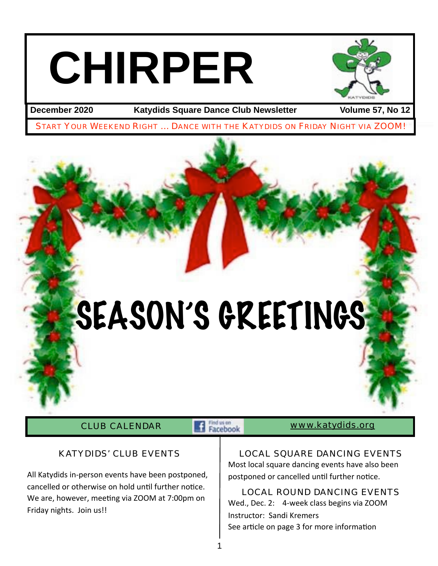# **CHIRPER**



**December 2020 Katydids Square Dance Club Newsletter Volume 57, No 12**

START YOUR WEEKEND RIGHT ... DANCE WITH THE KATYDIDS ON FRIDAY NIGHT VIA ZOOM!

## SEASON'S GREETINGS

CLUB CALENDAR **Exception WWW.katydids.org** 

#### KATYDIDS' CLUB EVENTS

All Katydids in-person events have been postponed, cancelled or otherwise on hold until further notice. We are, however, meeting via ZOOM at 7:00pm on Friday nights. Join us!!

#### LOCAL SQUARE DANCING EVENTS

Most local square dancing events have also been postponed or cancelled until further notice.

#### LOCAL ROUND DANCING EVENTS

Wed., Dec. 2: 4-week class begins via ZOOM Instructor: Sandi Kremers See article on page 3 for more information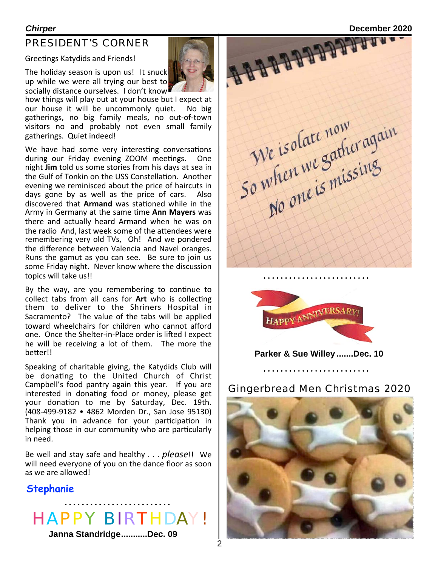#### PRESIDENT'S CORNER

Greetings Katydids and Friends!

The holiday season is upon us! It snuck up while we were all trying our best to socially distance ourselves. I don't know



how things will play out at your house but I expect at our house it will be uncommonly quiet. No big gatherings, no big family meals, no out-of-town visitors no and probably not even small family gatherings. Quiet indeed!

We have had some very interesting conversations during our Friday evening ZOOM meetings. One night **Jim** told us some stories from his days at sea in the Gulf of Tonkin on the USS Constellation. Another evening we reminisced about the price of haircuts in days gone by as well as the price of cars. Also discovered that **Armand** was stationed while in the Army in Germany at the same time Ann Mayers was there and actually heard Armand when he was on the radio And, last week some of the attendees were remembering very old TVs, Oh! And we pondered the difference between Valencia and Navel oranges. Runs the gamut as you can see. Be sure to join us some Friday night. Never know where the discussion topics will take us!!

By the way, are you remembering to continue to collect tabs from all cans for Art who is collecting them to deliver to the Shriners Hospital in Sacramento? The value of the tabs will be applied toward wheelchairs for children who cannot afford one. Once the Shelter-in-Place order is lifted I expect he will be receiving a lot of them. The more the better!!

Speaking of charitable giving, the Katydids Club will be donating to the United Church of Christ Campbell's food pantry again this year. If you are interested in donating food or money, please get your donation to me by Saturday, Dec. 19th. (408-499-9182 • 4862 Morden Dr., San Jose 95130) Thank you in advance for your participation in helping those in our community who are particularly in need.

Be well and stay safe and healthy . . . *please*!! We will need everyone of you on the dance floor as soon as we are allowed!

#### **Stephanie**

## HAPPY BIRTHDAY!

**Janna Standridge...........Dec. 09**

**Chirper**<br> **PRESIDENT'S CORNER**<br>
Greetings Katydids and Friends!<br>
The holiday season is upon us! It snuck<br>
up while we were all We isolate now<br>So when we Sather again<br>So when we Sather again



. . . . . . . . . . . . . . . . .

**Parker & Sue Willey .......Dec. 10**

#### Gingerbread Men Christmas 2020

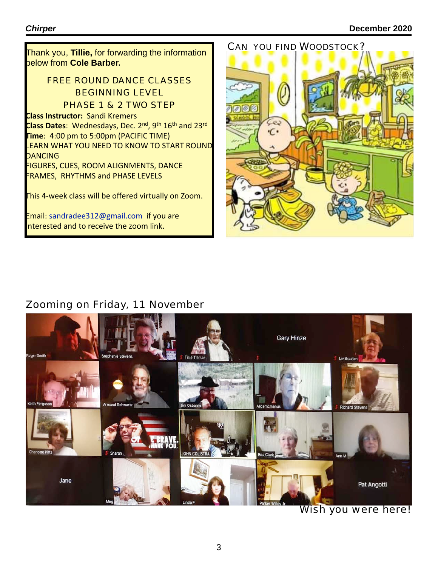CAN YOU FIND WOODSTOCK? Thank you, **Tillie,** for forwarding the information below from **Cole Barber.**

#### FREE ROUND DANCE CLASSES BEGINNING LEVEL PHASE 1 & 2 TWO STEP

**Class Instructor:** Sandi Kremers

Class Dates: Wednesdays, Dec. 2<sup>nd</sup>, 9<sup>th</sup> 16<sup>th</sup> and 23<sup>rd</sup> **Time**: 4:00 pm to 5:00pm (PACIFIC TIME) LEARN WHAT YOU NEED TO KNOW TO START ROUND **DANCING** 

FIGURES, CUES, ROOM ALIGNMENTS, DANCE **FRAMES, RHYTHMS and PHASE LEVELS** 

This 4-week class will be offered virtually on Zoom.

Email: sandradee312@gmail.com if you are interested and to receive the zoom link.



### Zooming on Friday, 11 November



Wish you were here!